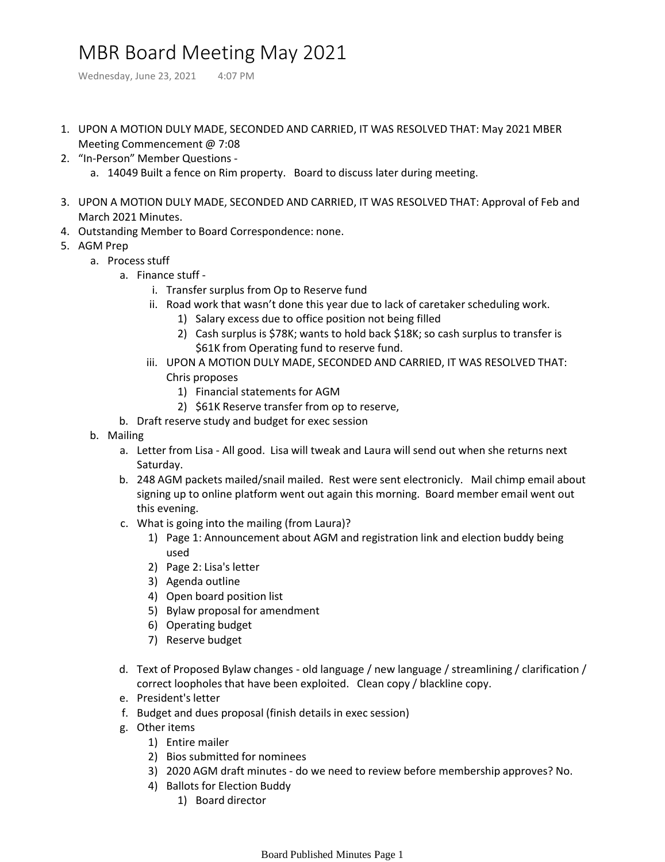## MBR Board Meeting May 2021

Wednesday, June 23, 2021 4:07 PM

- 1. UPON A MOTION DULY MADE, SECONDED AND CARRIED, IT WAS RESOLVED THAT: May 2021 MBER Meeting Commencement @ 7:08
- 2. "In-Person" Member Questions
	- a. 14049 Built a fence on Rim property. Board to discuss later during meeting.
- UPON A MOTION DULY MADE, SECONDED AND CARRIED, IT WAS RESOLVED THAT: Approval of Feb and 3. March 2021 Minutes.
- 4. Outstanding Member to Board Correspondence: none.
- 5. AGM Prep
	- a. Process stuff
		- a. Finance stuff
			- i. Transfer surplus from Op to Reserve fund
			- ii. Road work that wasn't done this year due to lack of caretaker scheduling work.
				- 1) Salary excess due to office position not being filled
				- Cash surplus is \$78K; wants to hold back \$18K; so cash surplus to transfer is 2) \$61K from Operating fund to reserve fund.
			- iii. UPON A MOTION DULY MADE, SECONDED AND CARRIED, IT WAS RESOLVED THAT: Chris proposes
				- 1) Financial statements for AGM
				- 2) \$61K Reserve transfer from op to reserve,
		- b. Draft reserve study and budget for exec session
	- b. Mailing
		- a. Letter from Lisa All good. Lisa will tweak and Laura will send out when she returns next Saturday.
		- 248 AGM packets mailed/snail mailed. Rest were sent electronicly. Mail chimp email about b. signing up to online platform went out again this morning. Board member email went out this evening.
		- What is going into the mailing (from Laura)? c.
			- 1) Page 1: Announcement about AGM and registration link and election buddy being used
			- 2) Page 2: Lisa's letter
			- 3) Agenda outline
			- 4) Open board position list
			- 5) Bylaw proposal for amendment
			- 6) Operating budget
			- 7) Reserve budget
		- d. Text of Proposed Bylaw changes old language / new language / streamlining / clarification / correct loopholes that have been exploited. Clean copy / blackline copy.
		- e. President's letter
		- f. Budget and dues proposal (finish details in exec session)
		- Other items g.
			- 1) Entire mailer
			- 2) Bios submitted for nominees
			- 3) 2020 AGM draft minutes do we need to review before membership approves? No.
			- 4) Ballots for Election Buddy
				- 1) Board director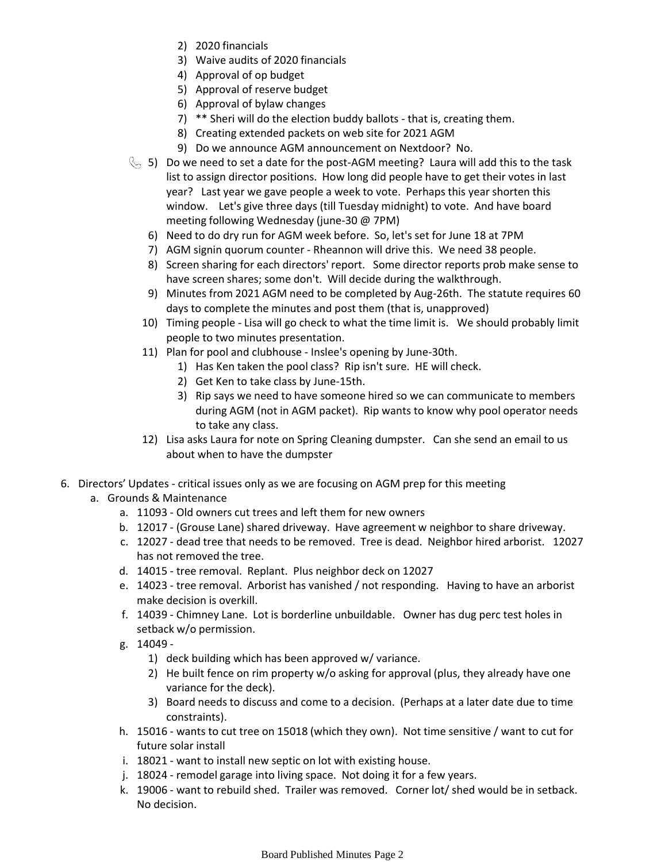- 2) 2020 financials
- 3) Waive audits of 2020 financials
- 4) Approval of op budget
- 5) Approval of reserve budget
- 6) Approval of bylaw changes
- 7) \*\* Sheri will do the election buddy ballots that is, creating them.
- 8) Creating extended packets on web site for 2021 AGM
- 9) Do we announce AGM announcement on Nextdoor? No.
- 5) Do we need to set a date for the post-AGM meeting? Laura will add this to the task list to assign director positions. How long did people have to get their votes in last year? Last year we gave people a week to vote. Perhaps this year shorten this window. Let's give three days (till Tuesday midnight) to vote. And have board meeting following Wednesday (june-30 @ 7PM)
	- 6) Need to do dry run for AGM week before. So, let's set for June 18 at 7PM
	- 7) AGM signin quorum counter Rheannon will drive this. We need 38 people.
	- 8) Screen sharing for each directors' report. Some director reports prob make sense to have screen shares; some don't. Will decide during the walkthrough.
	- Minutes from 2021 AGM need to be completed by Aug-26th. The statute requires 60 9) days to complete the minutes and post them (that is, unapproved)
	- 10) Timing people Lisa will go check to what the time limit is. We should probably limit people to two minutes presentation.
	- Plan for pool and clubhouse Inslee's opening by June-30th. 11)
		- 1) Has Ken taken the pool class? Rip isn't sure. HE will check.
		- 2) Get Ken to take class by June-15th.
		- 3) Rip says we need to have someone hired so we can communicate to members during AGM (not in AGM packet). Rip wants to know why pool operator needs to take any class.
	- 12) Lisa asks Laura for note on Spring Cleaning dumpster. Can she send an email to us about when to have the dumpster
- 6. Directors' Updates critical issues only as we are focusing on AGM prep for this meeting
	- a. Grounds & Maintenance
		- a. 11093 Old owners cut trees and left them for new owners
		- b. 12017 (Grouse Lane) shared driveway. Have agreement w neighbor to share driveway.
		- 12027 dead tree that needs to be removed. Tree is dead. Neighbor hired arborist. 12027 c. has not removed the tree.
		- d. 14015 tree removal. Replant. Plus neighbor deck on 12027
		- e. 14023 tree removal. Arborist has vanished / not responding. Having to have an arborist make decision is overkill.
		- f. 14039 Chimney Lane. Lot is borderline unbuildable. Owner has dug perc test holes in setback w/o permission.
		- 14049 g.
			- 1) deck building which has been approved w/ variance.
			- 2) He built fence on rim property w/o asking for approval (plus, they already have one variance for the deck).
			- 3) Board needs to discuss and come to a decision. (Perhaps at a later date due to time constraints).
		- h. 15016 wants to cut tree on 15018 (which they own). Not time sensitive / want to cut for future solar install
		- i. 18021 want to install new septic on lot with existing house.
		- j. 18024 remodel garage into living space. Not doing it for a few years.
		- 19006 want to rebuild shed. Trailer was removed. Corner lot/ shed would be in setback. k. No decision.